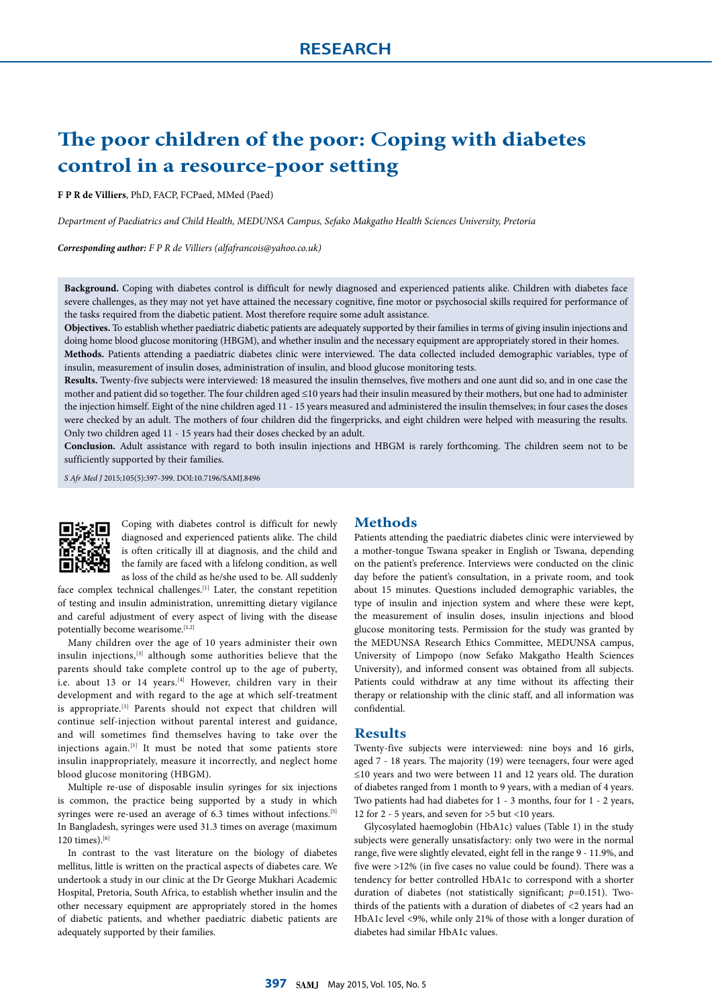# **The poor children of the poor: Coping with diabetes control in a resource-poor setting**

**F P R de Villiers**, PhD, FACP, FCPaed, MMed (Paed)

*Department of Paediatrics and Child Health, MEDUNSA Campus, Sefako Makgatho Health Sciences University, Pretoria*

*Corresponding author: F P R de Villiers (alfafrancois@yahoo.co.uk)*

**Background.** Coping with diabetes control is difficult for newly diagnosed and experienced patients alike. Children with diabetes face severe challenges, as they may not yet have attained the necessary cognitive, fine motor or psychosocial skills required for performance of the tasks required from the diabetic patient. Most therefore require some adult assistance.

**Objectives.** To establish whether paediatric diabetic patients are adequately supported by their families in terms of giving insulin injections and doing home blood glucose monitoring (HBGM), and whether insulin and the necessary equipment are appropriately stored in their homes.

**Methods.** Patients attending a paediatric diabetes clinic were interviewed. The data collected included demographic variables, type of insulin, measurement of insulin doses, administration of insulin, and blood glucose monitoring tests.

**Results.** Twenty-five subjects were interviewed: 18 measured the insulin themselves, five mothers and one aunt did so, and in one case the mother and patient did so together. The four children aged ≤10 years had their insulin measured by their mothers, but one had to administer the injection himself. Eight of the nine children aged 11 - 15 years measured and administered the insulin themselves; in four cases the doses were checked by an adult. The mothers of four children did the fingerpricks, and eight children were helped with measuring the results. Only two children aged 11 - 15 years had their doses checked by an adult.

**Conclusion.** Adult assistance with regard to both insulin injections and HBGM is rarely forthcoming. The children seem not to be sufficiently supported by their families.

*S Afr Med J* 2015;105(5):397-399. DOI:10.7196/SAMJ.8496



Coping with diabetes control is difficult for newly diagnosed and experienced patients alike. The child is often critically ill at diagnosis, and the child and the family are faced with a lifelong condition, as well as loss of the child as he/she used to be. All suddenly

face complex technical challenges.[1] Later, the constant repetition of testing and insulin administration, unremitting dietary vigilance and careful adjustment of every aspect of living with the disease potentially become wearisome.[1,2]

Many children over the age of 10 years administer their own insulin injections,[3] although some authorities believe that the parents should take complete control up to the age of puberty, i.e. about 13 or 14 years.<sup>[4]</sup> However, children vary in their development and with regard to the age at which self-treatment is appropriate.[3] Parents should not expect that children will continue self-injection without parental interest and guidance, and will sometimes find themselves having to take over the injections again.[3] It must be noted that some patients store insulin inappropriately, measure it incorrectly, and neglect home blood glucose monitoring (HBGM).

Multiple re-use of disposable insulin syringes for six injections is common, the practice being supported by a study in which syringes were re-used an average of 6.3 times without infections.<sup>[5]</sup> In Bangladesh, syringes were used 31.3 times on average (maximum 120 times).[6]

In contrast to the vast literature on the biology of diabetes mellitus, little is written on the practical aspects of diabetes care. We undertook a study in our clinic at the Dr George Mukhari Academic Hospital, Pretoria, South Africa, to establish whether insulin and the other necessary equipment are appropriately stored in the homes of diabetic patients, and whether paediatric diabetic patients are adequately supported by their families.

## **Methods**

Patients attending the paediatric diabetes clinic were interviewed by a mother-tongue Tswana speaker in English or Tswana, depending on the patient's preference. Interviews were conducted on the clinic day before the patient's consultation, in a private room, and took about 15 minutes. Questions included demographic variables, the type of insulin and injection system and where these were kept, the measurement of insulin doses, insulin injections and blood glucose monitoring tests. Permission for the study was granted by the MEDUNSA Research Ethics Committee, MEDUNSA campus, University of Limpopo (now Sefako Makgatho Health Sciences University), and informed consent was obtained from all subjects. Patients could withdraw at any time without its affecting their therapy or relationship with the clinic staff, and all information was confidential.

## **Results**

Twenty-five subjects were interviewed: nine boys and 16 girls, aged 7 - 18 years. The majority (19) were teenagers, four were aged ≤10 years and two were between 11 and 12 years old. The duration of diabetes ranged from 1 month to 9 years, with a median of 4 years. Two patients had had diabetes for 1 - 3 months, four for 1 - 2 years, 12 for 2 - 5 years, and seven for >5 but <10 years.

Glycosylated haemoglobin (HbA1c) values (Table 1) in the study subjects were generally unsatisfactory: only two were in the normal range, five were slightly elevated, eight fell in the range 9 - 11.9%, and five were >12% (in five cases no value could be found). There was a tendency for better controlled HbA1c to correspond with a shorter duration of diabetes (not statistically significant; *p*=0.151). Twothirds of the patients with a duration of diabetes of <2 years had an HbA1c level <9%, while only 21% of those with a longer duration of diabetes had similar HbA1c values.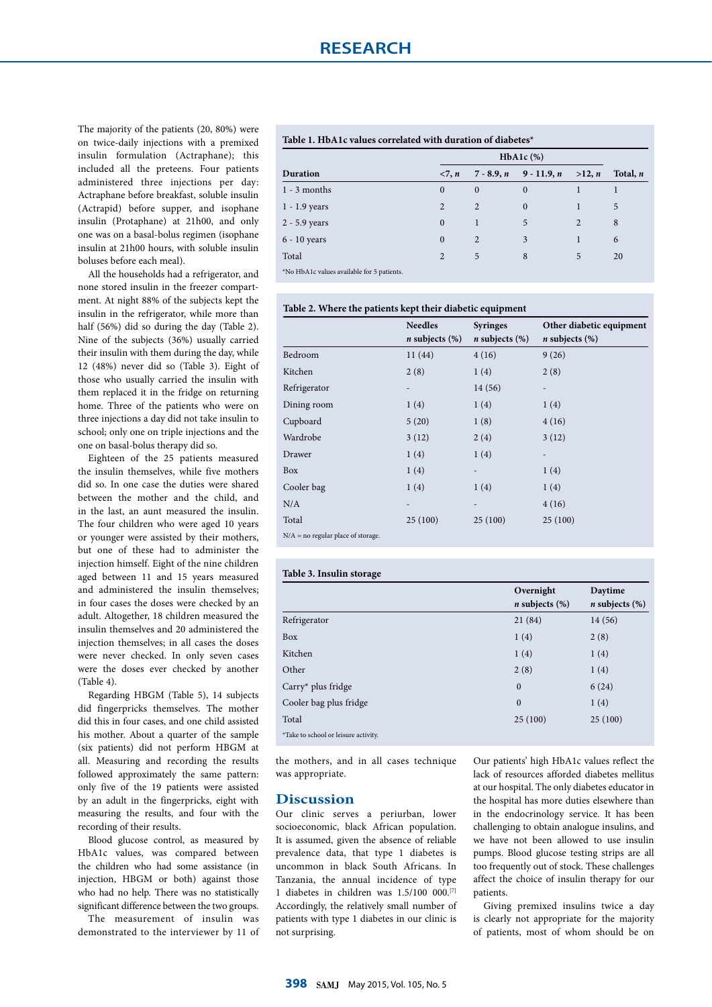The majority of the patients (20, 80%) were on twice-daily injections with a premixed insulin formulation (Actraphane); this included all the preteens. Four patients administered three injections per day: Actraphane before breakfast, soluble insulin (Actrapid) before supper, and isophane insulin (Protaphane) at 21h00, and only one was on a basal-bolus regimen (isophane insulin at 21h00 hours, with soluble insulin boluses before each meal).

All the households had a refrigerator, and none stored insulin in the freezer compartment. At night 88% of the subjects kept the insulin in the refrigerator, while more than half (56%) did so during the day (Table 2). Nine of the subjects (36%) usually carried their insulin with them during the day, while 12 (48%) never did so (Table 3). Eight of those who usually carried the insulin with them replaced it in the fridge on returning home. Three of the patients who were on three injections a day did not take insulin to school; only one on triple injections and the one on basal-bolus therapy did so.

Eighteen of the 25 patients measured the insulin themselves, while five mothers did so. In one case the duties were shared between the mother and the child, and in the last, an aunt measured the insulin. The four children who were aged 10 years or younger were assisted by their mothers, but one of these had to administer the injection himself. Eight of the nine children aged between 11 and 15 years measured and administered the insulin themselves; in four cases the doses were checked by an adult. Altogether, 18 children measured the insulin themselves and 20 administered the injection themselves; in all cases the doses were never checked. In only seven cases were the doses ever checked by another (Table 4).

Regarding HBGM (Table 5), 14 subjects did fingerpricks themselves. The mother did this in four cases, and one child assisted his mother. About a quarter of the sample (six patients) did not perform HBGM at all. Measuring and recording the results followed approximately the same pattern: only five of the 19 patients were assisted by an adult in the fingerpricks, eight with measuring the results, and four with the recording of their results.

Blood glucose control, as measured by HbA1c values, was compared between the children who had some assistance (in injection, HBGM or both) against those who had no help. There was no statistically significant difference between the two groups.

The measurement of insulin was demonstrated to the interviewer by 11 of

# **Table 1. HbA1c values correlated with duration of diabetes\***

**Table 2. Where the patients kept their diabetic equipment**

|                 | $HbA1c$ (%)    |              |               |        |            |
|-----------------|----------------|--------------|---------------|--------|------------|
| Duration        | <7, n          | $7 - 8.9, n$ | $9 - 11.9, n$ | >12, n | Total, $n$ |
| $1 - 3$ months  | $\mathbf{0}$   | $\mathbf{0}$ | $\Omega$      |        |            |
| $1 - 1.9$ years | 2              | 2            | $\mathbf{0}$  |        | 5          |
| 2 - 5.9 years   | $\mathbf{0}$   |              | 5             | 2      | 8          |
| $6 - 10$ years  | $\mathbf{0}$   | 2            | 3             |        | 6          |
| Total           | $\overline{2}$ | 5            | 8             | 5      | 20         |

\*No HbA1c values available for 5 patients.

|                                      | <b>Needles</b><br><i>n</i> subjects $(\%)$ | <b>Syringes</b><br><i>n</i> subjects $(\%)$ | Other diabetic equipment<br><i>n</i> subjects $(\%)$ |
|--------------------------------------|--------------------------------------------|---------------------------------------------|------------------------------------------------------|
| Bedroom                              | 11(44)                                     | 4(16)                                       | 9(26)                                                |
| Kitchen                              | 2(8)                                       | 1(4)                                        | 2(8)                                                 |
| Refrigerator                         | $\overline{\phantom{0}}$                   | 14(56)                                      | $\overline{\phantom{0}}$                             |
| Dining room                          | 1(4)                                       | 1(4)                                        | 1(4)                                                 |
| Cupboard                             | 5(20)                                      | 1(8)                                        | 4(16)                                                |
| Wardrobe                             | 3(12)                                      | 2(4)                                        | 3(12)                                                |
| Drawer                               | 1(4)                                       | 1(4)                                        |                                                      |
| Box                                  | 1(4)                                       | $\overline{\phantom{a}}$                    | 1(4)                                                 |
| Cooler bag                           | 1(4)                                       | 1(4)                                        | 1(4)                                                 |
| N/A                                  |                                            | $\overline{\phantom{0}}$                    | 4(16)                                                |
| Total                                | 25(100)                                    | 25(100)                                     | 25(100)                                              |
| $N/A$ = no regular place of storage. |                                            |                                             |                                                      |

#### **Table 3. Insulin storage**

|                                      | Overnight<br><i>n</i> subjects $(\%)$ | Daytime<br><i>n</i> subjects $(\%)$ |
|--------------------------------------|---------------------------------------|-------------------------------------|
| Refrigerator                         | 21(84)                                | 14 (56)                             |
| Box                                  | 1(4)                                  | 2(8)                                |
| Kitchen                              | 1(4)                                  | 1(4)                                |
| Other                                | 2(8)                                  | 1(4)                                |
| $Carry* plus fridge$                 | $\mathbf{0}$                          | 6(24)                               |
| Cooler bag plus fridge               | $\mathbf{0}$                          | 1(4)                                |
| Total                                | 25(100)                               | 25(100)                             |
| *Take to school or leisure activity. |                                       |                                     |

the mothers, and in all cases technique was appropriate.

## **Discussion**

Our clinic serves a periurban, lower socioeconomic, black African population. It is assumed, given the absence of reliable prevalence data, that type 1 diabetes is uncommon in black South Africans. In Tanzania, the annual incidence of type 1 diabetes in children was 1.5/100 000.[7] Accordingly, the relatively small number of patients with type 1 diabetes in our clinic is not surprising.

Our patients' high HbA1c values reflect the lack of resources afforded diabetes mellitus at our hospital. The only diabetes educator in the hospital has more duties elsewhere than in the endocrinology service. It has been challenging to obtain analogue insulins, and we have not been allowed to use insulin pumps. Blood glucose testing strips are all too frequently out of stock. These challenges affect the choice of insulin therapy for our patients.

Giving premixed insulins twice a day is clearly not appropriate for the majority of patients, most of whom should be on